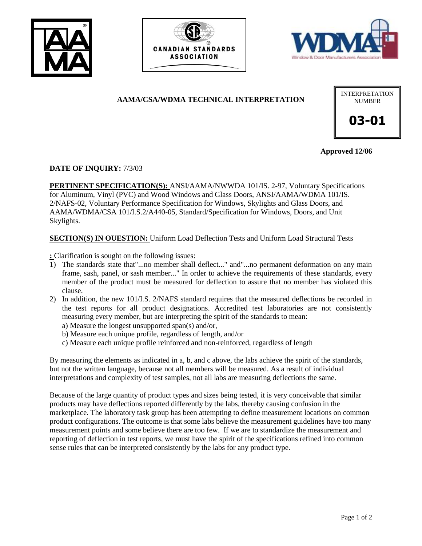





# **AAMA/CSA/WDMA TECHNICAL INTERPRETATION**



**Approved 12/06**

## **DATE OF INQUIRY:** 7/3/03

**PERTINENT SPECIFICATION(S):** ANSI/AAMA/NWWDA 101/IS. 2-97, Voluntary Specifications for Aluminum, Vinyl (PVC) and Wood Windows and Glass Doors, ANSI/AAMA/WDMA 101/IS. 2/NAFS-02, Voluntary Performance Specification for Windows, Skylights and Glass Doors, and AAMA/WDMA/CSA 101/I.S.2/A440-05, Standard/Specification for Windows, Doors, and Unit Skylights.

#### **SECTION(S) IN OUESTION:** Uniform Load Deflection Tests and Uniform Load Structural Tests

**:** Clarification is sought on the following issues:

- 1) The standards state that"...no member shall deflect..." and"...no permanent deformation on any main frame, sash, panel, or sash member..." In order to achieve the requirements of these standards, every member of the product must be measured for deflection to assure that no member has violated this clause.
- 2) In addition, the new 101/I.S. 2/NAFS standard requires that the measured deflections be recorded in the test reports for all product designations. Accredited test laboratories are not consistently measuring every member, but are interpreting the spirit of the standards to mean:
	- a) Measure the longest unsupported span(s) and/or,
	- b) Measure each unique profile, regardless of length, and/or
	- c) Measure each unique profile reinforced and non-reinforced, regardless of length

By measuring the elements as indicated in a, b, and c above, the labs achieve the spirit of the standards, but not the written language, because not all members will be measured. As a result of individual interpretations and complexity of test samples, not all labs are measuring deflections the same.

Because of the large quantity of product types and sizes being tested, it is very conceivable that similar products may have deflections reported differently by the labs, thereby causing confusion in the marketplace. The laboratory task group has been attempting to define measurement locations on common product configurations. The outcome is that some labs believe the measurement guidelines have too many measurement points and some believe there are too few. If we are to standardize the measurement and reporting of deflection in test reports, we must have the spirit of the specifications refined into common sense rules that can be interpreted consistently by the labs for any product type.